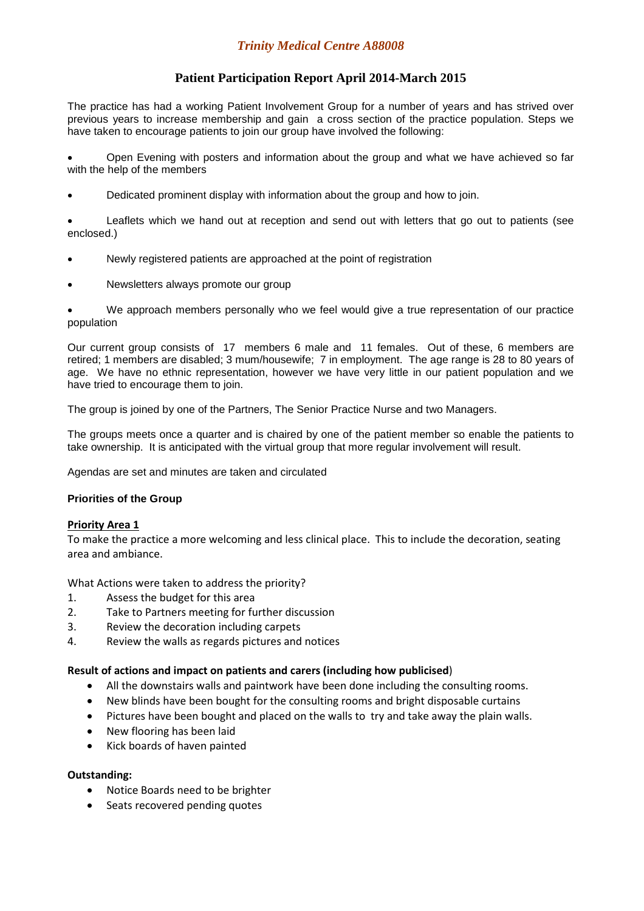# **Patient Participation Report April 2014-March 2015**

The practice has had a working Patient Involvement Group for a number of years and has strived over previous years to increase membership and gain a cross section of the practice population. Steps we have taken to encourage patients to join our group have involved the following:

• Open Evening with posters and information about the group and what we have achieved so far with the help of the members

• Dedicated prominent display with information about the group and how to join.

• Leaflets which we hand out at reception and send out with letters that go out to patients (see enclosed.)

- Newly registered patients are approached at the point of registration
- Newsletters always promote our group

• We approach members personally who we feel would give a true representation of our practice population

Our current group consists of 17 members 6 male and 11 females. Out of these, 6 members are retired; 1 members are disabled; 3 mum/housewife; 7 in employment. The age range is 28 to 80 years of age. We have no ethnic representation, however we have very little in our patient population and we have tried to encourage them to join.

The group is joined by one of the Partners, The Senior Practice Nurse and two Managers.

The groups meets once a quarter and is chaired by one of the patient member so enable the patients to take ownership. It is anticipated with the virtual group that more regular involvement will result.

Agendas are set and minutes are taken and circulated

## **Priorities of the Group**

## Priority Area 1

To make the practice a more welcoming and less clinical place. This to include the decoration, seating area and ambiance.

What Actions were taken to address the priority?

- 1. Assess the budget for this area
- 2. Take to Partners meeting for further discussion
- 3. Review the decoration including carpets
- 4. Review the walls as regards pictures and notices

## Result of actions and impact on patients and carers (including how publicised)

- All the downstairs walls and paintwork have been done including the consulting rooms.
- New blinds have been bought for the consulting rooms and bright disposable curtains
- Pictures have been bought and placed on the walls to try and take away the plain walls.
- New flooring has been laid
- Kick boards of haven painted

## Outstanding:

- Notice Boards need to be brighter
- Seats recovered pending quotes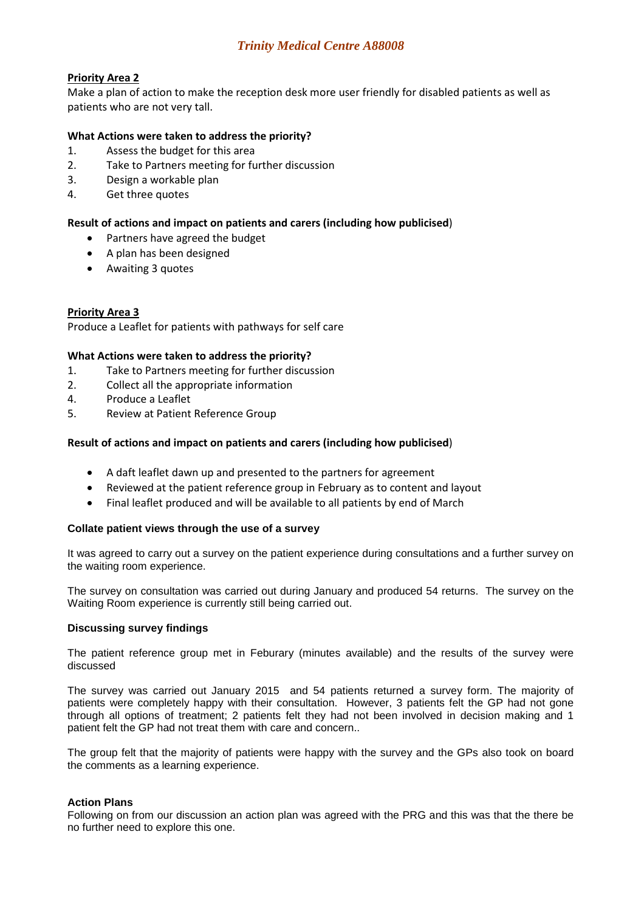## *Trinity Medical Centre A88008*

## Priority Area 2

Make a plan of action to make the reception desk more user friendly for disabled patients as well as patients who are not very tall.

## What Actions were taken to address the priority?

- 1. Assess the budget for this area
- 2. Take to Partners meeting for further discussion
- 3. Design a workable plan
- 4. Get three quotes

#### Result of actions and impact on patients and carers (including how publicised)

- Partners have agreed the budget
- A plan has been designed
- Awaiting 3 quotes

## Priority Area 3

Produce a Leaflet for patients with pathways for self care

#### What Actions were taken to address the priority?

- 1. Take to Partners meeting for further discussion
- 2. Collect all the appropriate information
- 4. Produce a Leaflet
- 5. Review at Patient Reference Group

#### Result of actions and impact on patients and carers (including how publicised)

- A daft leaflet dawn up and presented to the partners for agreement
- Reviewed at the patient reference group in February as to content and layout
- Final leaflet produced and will be available to all patients by end of March

#### **Collate patient views through the use of a survey**

It was agreed to carry out a survey on the patient experience during consultations and a further survey on the waiting room experience.

The survey on consultation was carried out during January and produced 54 returns. The survey on the Waiting Room experience is currently still being carried out.

#### **Discussing survey findings**

The patient reference group met in Feburary (minutes available) and the results of the survey were discussed

The survey was carried out January 2015 and 54 patients returned a survey form. The majority of patients were completely happy with their consultation. However, 3 patients felt the GP had not gone through all options of treatment; 2 patients felt they had not been involved in decision making and 1 patient felt the GP had not treat them with care and concern..

The group felt that the majority of patients were happy with the survey and the GPs also took on board the comments as a learning experience.

#### **Action Plans**

Following on from our discussion an action plan was agreed with the PRG and this was that the there be no further need to explore this one.